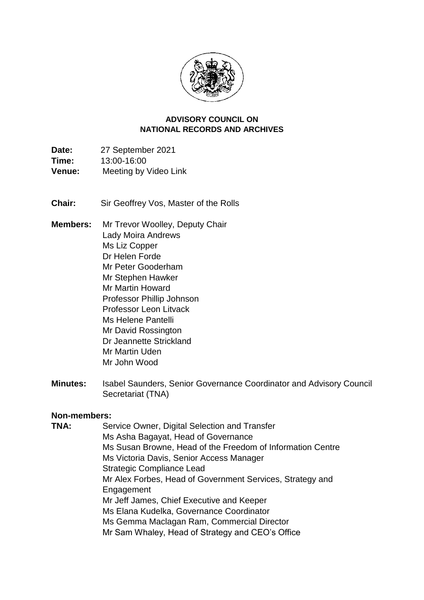

#### **NATIONAL RECORDS AND ARCHIVES ADVISORY COUNCIL ON**

**Date:** 27 September 2021 **Time:** 13:00-16:00 **Venue:** Meeting by Video Link

**Chair:** Sir Geoffrey Vos, Master of the Rolls

- **Members:** Mr Trevor Woolley, Deputy Chair Lady Moira Andrews Ms Liz Copper Dr Helen Forde Mr Peter Gooderham Mr Stephen Hawker Mr Martin Howard Professor Phillip Johnson Professor Leon Litvack Ms Helene Pantelli Mr David Rossington Dr Jeannette Strickland Mr Martin Uden Mr John Wood
- **Minutes:** Isabel Saunders, Senior Governance Coordinator and Advisory Council Secretariat (TNA)

#### **Non-members:**

 Ms Elana Kudelka, Governance Coordinator **TNA:** Service Owner, Digital Selection and Transfer Ms Asha Bagayat, Head of Governance Ms Susan Browne, Head of the Freedom of Information Centre Ms Victoria Davis, Senior Access Manager Strategic Compliance Lead Mr Alex Forbes, Head of Government Services, Strategy and **Engagement** Mr Jeff James, Chief Executive and Keeper Ms Gemma Maclagan Ram, Commercial Director Mr Sam Whaley, Head of Strategy and CEO's Office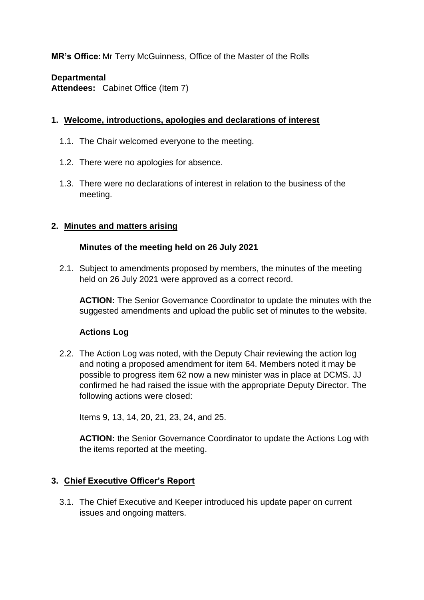**MR's Office:** Mr Terry McGuinness, Office of the Master of the Rolls

### **Departmental**

**Attendees:** Cabinet Office (Item 7)

### **1. Welcome, introductions, apologies and declarations of interest**

- 1.1. The Chair welcomed everyone to the meeting.
- 1.2. There were no apologies for absence.
- 1.3. There were no declarations of interest in relation to the business of the meeting.

### **2. Minutes and matters arising**

### **Minutes of the meeting held on 26 July 2021**

2.1. Subject to amendments proposed by members, the minutes of the meeting held on 26 July 2021 were approved as a correct record.

**ACTION:** The Senior Governance Coordinator to update the minutes with the suggested amendments and upload the public set of minutes to the website.

## **Actions Log**

 possible to progress item 62 now a new minister was in place at DCMS. JJ 2.2. The Action Log was noted, with the Deputy Chair reviewing the action log and noting a proposed amendment for item 64. Members noted it may be confirmed he had raised the issue with the appropriate Deputy Director. The following actions were closed:

Items 9, 13, 14, 20, 21, 23, 24, and 25.

 the items reported at the meeting. **ACTION:** the Senior Governance Coordinator to update the Actions Log with

## **3. Chief Executive Officer's Report**

3.1. The Chief Executive and Keeper introduced his update paper on current issues and ongoing matters.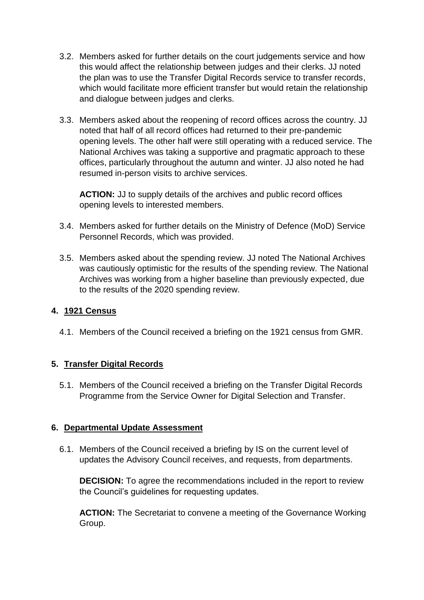- the plan was to use the Transfer Digital Records service to transfer records, and dialogue between judges and clerks. 3.2. Members asked for further details on the court judgements service and how this would affect the relationship between judges and their clerks. JJ noted which would facilitate more efficient transfer but would retain the relationship
- noted that half of all record offices had returned to their pre-pandemic 3.3. Members asked about the reopening of record offices across the country. JJ opening levels. The other half were still operating with a reduced service. The National Archives was taking a supportive and pragmatic approach to these offices, particularly throughout the autumn and winter. JJ also noted he had resumed in-person visits to archive services.

**ACTION:** JJ to supply details of the archives and public record offices opening levels to interested members.

- 3.4. Members asked for further details on the Ministry of Defence (MoD) Service Personnel Records, which was provided.
- Archives was working from a higher baseline than previously expected, due 3.5. Members asked about the spending review. JJ noted The National Archives was cautiously optimistic for the results of the spending review. The National to the results of the 2020 spending review.

### **4. 1921 Census**

4.1. Members of the Council received a briefing on the 1921 census from GMR.

## **5. Transfer Digital Records**

 Programme from the Service Owner for Digital Selection and Transfer. 5.1. Members of the Council received a briefing on the Transfer Digital Records

### **6. Departmental Update Assessment**

6.1. Members of the Council received a briefing by IS on the current level of updates the Advisory Council receives, and requests, from departments.

**DECISION:** To agree the recommendations included in the report to review the Council's guidelines for requesting updates.

 **ACTION:** The Secretariat to convene a meeting of the Governance Working Group.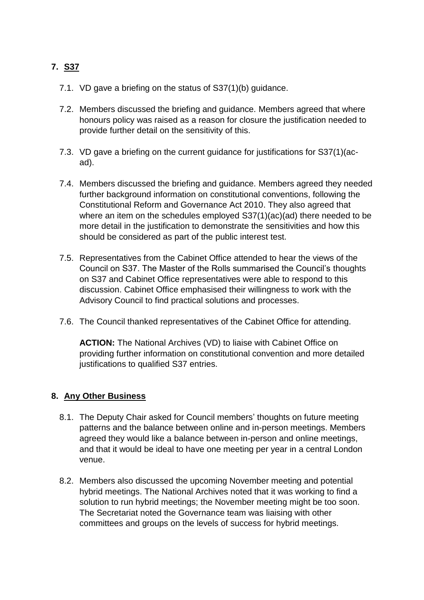# **7. S37**

- 7.1. VD gave a briefing on the status of S37(1)(b) guidance.
- honours policy was raised as a reason for closure the justification needed to provide further detail on the sensitivity of this. 7.2. Members discussed the briefing and guidance. Members agreed that where
- 7.3. VD gave a briefing on the current guidance for justifications for S37(1)(acad).
- further background information on constitutional conventions, following the Constitutional Reform and Governance Act 2010. They also agreed that where an item on the schedules employed S37(1)(ac)(ad) there needed to be more detail in the justification to demonstrate the sensitivities and how this should be considered as part of the public interest test. 7.4. Members discussed the briefing and guidance. Members agreed they needed
- 7.5. Representatives from the Cabinet Office attended to hear the views of the Council on S37. The Master of the Rolls summarised the Council's thoughts on S37 and Cabinet Office representatives were able to respond to this discussion. Cabinet Office emphasised their willingness to work with the Advisory Council to find practical solutions and processes.
- 7.6. The Council thanked representatives of the Cabinet Office for attending.

**ACTION:** The National Archives (VD) to liaise with Cabinet Office on providing further information on constitutional convention and more detailed justifications to qualified S37 entries.

### **8. Any Other Business**

- agreed they would like a balance between in-person and online meetings, 8.1. The Deputy Chair asked for Council members' thoughts on future meeting patterns and the balance between online and in-person meetings. Members and that it would be ideal to have one meeting per year in a central London venue.
- hybrid meetings. The National Archives noted that it was working to find a The Secretariat noted the Governance team was liaising with other committees and groups on the levels of success for hybrid meetings. 8.2. Members also discussed the upcoming November meeting and potential solution to run hybrid meetings; the November meeting might be too soon.